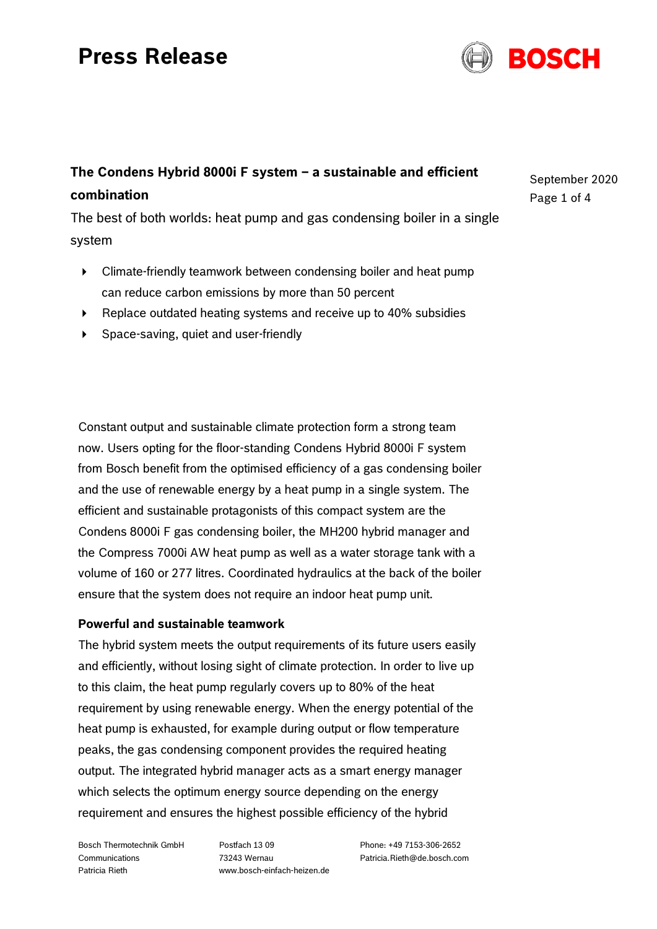# **Press Release**



# **The Condens Hybrid 8000i F system – a sustainable and efficient combination**

The best of both worlds: heat pump and gas condensing boiler in a single system

- Climate-friendly teamwork between condensing boiler and heat pump can reduce carbon emissions by more than 50 percent
- ▶ Replace outdated heating systems and receive up to 40% subsidies
- Space-saving, quiet and user-friendly

Constant output and sustainable climate protection form a strong team now. Users opting for the floor-standing Condens Hybrid 8000i F system from Bosch benefit from the optimised efficiency of a gas condensing boiler and the use of renewable energy by a heat pump in a single system. The efficient and sustainable protagonists of this compact system are the Condens 8000i F gas condensing boiler, the MH200 hybrid manager and the Compress 7000i AW heat pump as well as a water storage tank with a volume of 160 or 277 litres. Coordinated hydraulics at the back of the boiler ensure that the system does not require an indoor heat pump unit.

## **Powerful and sustainable teamwork**

The hybrid system meets the output requirements of its future users easily and efficiently, without losing sight of climate protection. In order to live up to this claim, the heat pump regularly covers up to 80% of the heat requirement by using renewable energy. When the energy potential of the heat pump is exhausted, for example during output or flow temperature peaks, the gas condensing component provides the required heating output. The integrated hybrid manager acts as a smart energy manager which selects the optimum energy source depending on the energy requirement and ensures the highest possible efficiency of the hybrid

Bosch Thermotechnik GmbH Communications Patricia Rieth

Postfach 13 09 73243 Wernau www.bosch-einfach-heizen.de Phone: +49 7153-306-2652 Patricia.Rieth@de.bosch.com September 2020 Page 1 of 4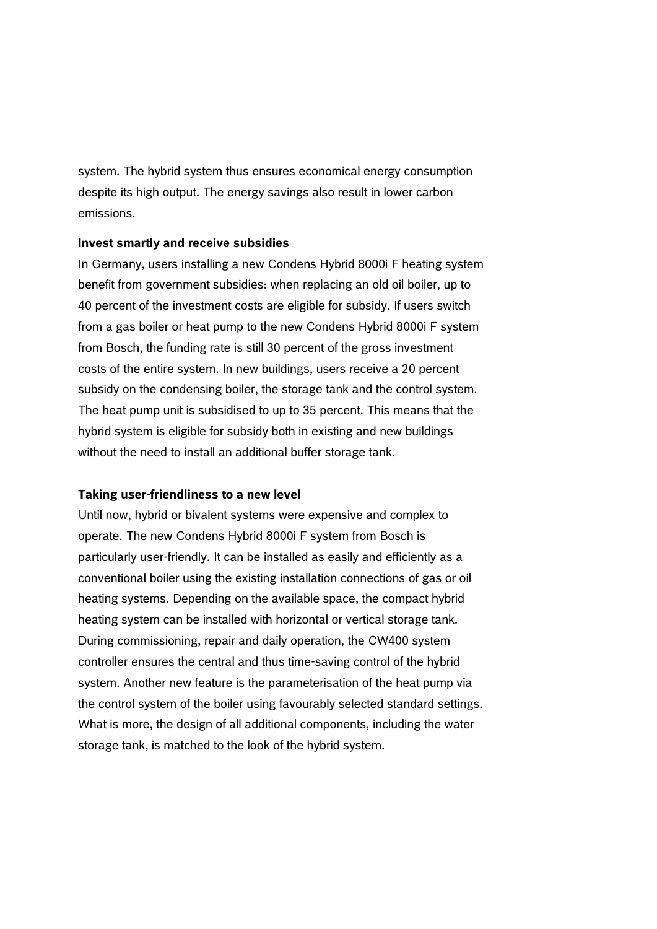system. The hybrid system thus ensures economical energy consumption despite its high output. The energy savings also result in lower carbon emissions.

### **Invest smartly and receive subsidies**

In Germany, users installing a new Condens Hybrid 8000i F heating system benefit from government subsidies: when replacing an old oil boiler, up to 40 percent of the investment costs are eligible for subsidy. If users switch from a gas boiler or heat pump to the new Condens Hybrid 8000i F system from Bosch, the funding rate is still 30 percent of the gross investment costs of the entire system. In new buildings, users receive a 20 percent subsidy on the condensing boiler, the storage tank and the control system. The heat pump unit is subsidised to up to 35 percent. This means that the hybrid system is eligible for subsidy both in existing and new buildings without the need to install an additional buffer storage tank.

#### **Taking user-friendliness to a new level**

Until now, hybrid or bivalent systems were expensive and complex to operate. The new Condens Hybrid 8000i F system from Bosch is particularly user-friendly. It can be installed as easily and efficiently as a conventional boiler using the existing installation connections of gas or oil heating systems. Depending on the available space, the compact hybrid heating system can be installed with horizontal or vertical storage tank. During commissioning, repair and daily operation, the CW400 system controller ensures the central and thus time-saving control of the hybrid system. Another new feature is the parameterisation of the heat pump via the control system of the boiler using favourably selected standard settings. What is more, the design of all additional components, including the water storage tank, is matched to the look of the hybrid system.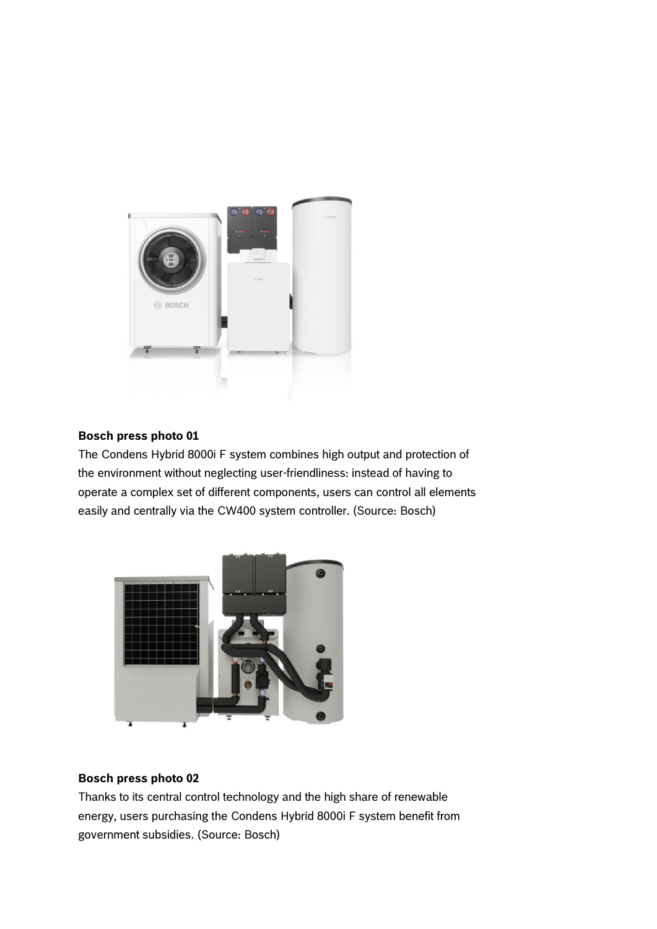

# **Bosch press photo 01**

The Condens Hybrid 8000i F system combines high output and protection of the environment without neglecting user-friendliness: instead of having to operate a complex set of different components, users can control all elements easily and centrally via the CW400 system controller. (Source: Bosch)



## **Bosch press photo 02**

Thanks to its central control technology and the high share of renewable energy, users purchasing the Condens Hybrid 8000i F system benefit from government subsidies. (Source: Bosch)